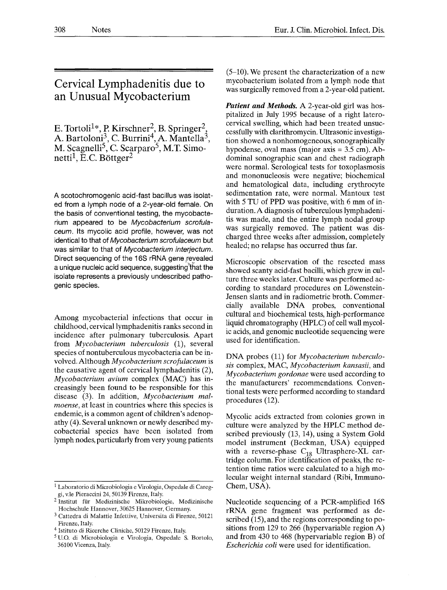## **Cervical Lymphadenitis due to an Unusual Mycobacterium**

E. Tortoli<sup>1\*</sup>, P. Kirschner<sup>2</sup>, B. Springer<sup>2</sup>, A. Bartoloni<sup>3</sup>, C. Burrini<sup>4</sup>, A. Mantella<sup>3</sup>, M. Scagnelli<sup>5</sup>, C. Scarparo<sup>5</sup>, M.T. Simonetti<sup>1</sup>, E.C. Böttger<sup>2</sup>

A scotochromogenic acid-fast bacillus was isolated from a lymph node of a 2-year-old female. On the basis of conventional testing, the mycobacterium appeared to be *Mycobacterium scrofulaceum.* Its mycolic acid profile, however, was not identical to that of *Mycobacterium scrofulaceum* but was similar to that of *Mycobacterium interjectum.*  Direct sequencing of the 16S rRNA gene revealed a unique nucleic acid sequence, suggesting that the isolate represents a previously undescribed pathogenic species.

Among mycobacterial infections that occur in childhood, cervical lymphadenitis ranks second in incidence after pulmonary tuberculosis. Apart from *Mycobacteriurn tuberculosis* (1), several species of nontuberculous mycobacteria can be involved. Although *Mycobacteriurn scrofulaceurn* is the causative agent of cervical lymphadenitis (2), *Mycobacterium avium* complex (MAC) has increasingly been found to be responsible for this disease (3). In addition, *Mycobacterium malmoense*, at least in countries where this species is endemic, is a common agent of children's adenopathy (4). Several unknown or newly described mycobacterial species have been isolated from lymph nodes, particularly from very young patients

(5-10). We present the characterization of a new mycobacterium isolated from a lymph node that was surgically removed from a 2-year-old patient.

*Patient and Methods.* A 2-year-old girl was hospitalized in July 1995 because of a right laterocervical swelling, which had been treated unsuccessfully with clarithromycin. Ultrasonic investigation showed a nonhomogeneous, sonographically hypodense, oval mass (major axis  $= 3.5$  cm). Abdominal sonographic scan and chest radiograph were normal. Serological tests for toxoplasmosis and mononucleosis were negative; biochemical and hematological data, including erythrocyte sedimentation rate, were normal. Mantoux test with 5 TU of PPD was positive, with 6 mm of induration. A diagnosis of tuberculous lymphadenitis was made, and the entire lymph nodal group was surgically removed. The patient was discharged three weeks after admission, completely healed; no relapse has occurred thus far.

Microscopic observation of the resected mass showed scanty acid-fast bacilli, which grew in culture three weeks later. Culture was performed according to standard procedures on Löwenstein-Jensen slants and in radiometric broth. Commercially available DNA probes, conventional cultural and biochemical tests, high-performance liquid chromatography (HPLC) of cell wall mycolic acids, and genomic nucleotide sequencing were used for identification.

DNA probes (11) for *Mycobacterium tuberculosis* complex, MAC, *Mycobacterium kansasii,* and *Mycobacteriurn gordonae* were used according to the manufacturers' recommendations. Conventional tests were performed according to standard procedures (12).

Mycolic acids extracted from colonies grown in culture were analyzed by the HPLC method described previously (13, 14), using a System Gold model instrument (Beckman, USA) equipped with a reverse-phase  $C_{18}$  Ultrasphere-XL cartridge column. For identification of peaks, the retention time ratios were calculated to a high molecular weight internal standard (Ribi, Immuno-Chem, USA).

Nucleotide sequencing of a PCR-amplified 16S rRNA gene fragment was performed as described (15), and the regions corresponding to positions from 129 to 266 (hypervariable region A) and from 430 to 468 (hypervariable region B) of *Escherichia coli* were used for identification.

<sup>1</sup> Laboratorio di Microbiologia e Virologia, Ospedale di Careggi, v.le Pieraccini 24, 50139 Firenze, Italy.

<sup>&</sup>lt;sup>2</sup> Institut für Medizinische Mikrobiologie, Medizinische Hochschule Hannover, 30625 Hannover, Germany.

<sup>3</sup> Cattedra di Malattie Infettive, Universita di Firenze, 50121 Firenze, Italy.

<sup>4</sup> Istituto di Ricerche Cliniche, 50129 Firenze, Italy.

<sup>5</sup> U.O. di Microbiologia e Virologia, Ospedale S. Bortolo, 36100 Vicenza, Italy.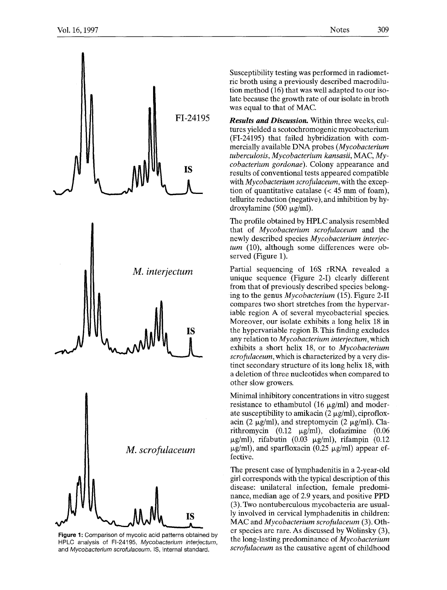

Figure 1: Comparison of mycolic acid patterns obtained by HPLC analysis of FI-24195, *Mycobacterium interjectum,*  and *Mycobacterium scrofulaceum.* IS, internal standard.

Susceptibility testing was performed in radiometric broth using a previously described macrodilution method (16) that was well adapted to our isolate because the growth rate of our isolate in broth was equal to that of MAC.

*Results and Discussion.* Within three weeks, cultures yielded a scotochromogenic mycobacterium (FI-24195) that failed hybridization with commercially available DNA probes *(Mycobacterium tuberculosis, Mycobacteriurn kansasii,* MAC, *Mycobacterium gordonae).* Colony appearance and results of conventional tests appeared compatible with *Mycobacterium scrofulaceum,* with the exception of quantitative catalase  $\ll 45$  mm of foam). tellurite reduction (negative), and inhibition by hydroxylamine (500  $\mu$ g/ml).

The profile obtained by HPLC analysis resembled that of *Mycobacteriurn scrofulaceum* and the newly described species *Mycobacterium interjectum* (10), although some differences were observed (Figure 1).

Partial sequencing of 16S rRNA revealed a unique sequence (Figure 2-I) clearly different from that of previously described species belonging to the genus *Mycobacteriurn* (15). Figure 2-II compares two short stretches from the hypervariable region A of several mycobacterial species. Moreover, our isolate exhibits a long helix 18 in the hypervariable region B. This finding excludes any relation to *Mycobacterium interjectum,* which exhibits a short helix 18, or to *Mycobacterium scrofulaceum,* which is characterized by a very distinct secondary structure of its long helix 18, with a deletion of three nucleotides when compared to other slow growers.

Minimal inhibitory concentrations in vitro suggest resistance to ethambutol (16  $\mu$ g/ml) and moderate susceptibility to amikacin  $(2 \mu g/ml)$ , ciprofloxacin (2  $\mu$ g/ml), and streptomycin (2  $\mu$ g/ml). Clarithromycin  $(0.12 \mu g/ml)$ , clofazimine  $(0.06$  $\mu$ g/ml), rifabutin (0.03  $\mu$ g/ml), rifampin (0.12  $\mu$ g/ml), and sparfloxacin (0.25  $\mu$ g/ml) appear effective.

The present case of lymphadenitis in a 2-year-old girl corresponds with the typical description of this disease: unilateral infection, female predominance, median age of 2.9 years, and positive PPD (3). Two nontuberculous mycobacteria are usually involved in cervical lymphadenitis in children: MAC and *Mycobacterium scrofulaceum* (3). Other species are rare. As discussed by Wolinsky (3), the long-lasting predominance of *Mycobacterium scrofulaceum* as the causative agent of childhood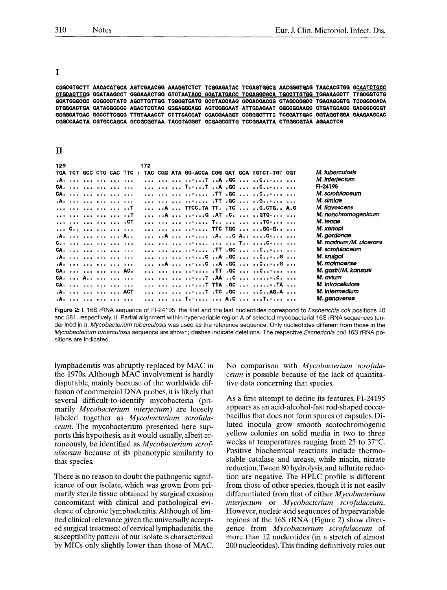I

CGGCGTGCTT AACACATGCA AGTCGAACGG AAAGGTCTCT TCGGAGATAC TCGAGTGGCG AACGGGTGAG TAACACGTGG GCAATCTGCC CTGCACTTCG GGATAAGCCT GGGAAACTGG GTCTAATACC GGATATGACC TCGAGGCGCA TGCCTTGTGG TGGAAAGCTT TTGCGGTGTG GGATGGGCCC GCGGCCTATC AGCTTGTTGG TGGGGTGATG GCCTACCAAG GCGACGACGG GTAGCCGGCC TGAGAGGGTG TCCGGCCACA CTGGGACTGA GATACGGCCC AGACTCCTAC GGGAGGCAGC AGTGGGGAAT ATTGCACAAT GGGCGCAAGC CTGATGCAGC GACGCCGCGT GGGGGATGAC GGCCTTCGGG TTGTAAACCT CTTTCACCAT CGACGAAGGT CCGGGGTTTC TCGGATTGAC GGTAGGTGGA GAAGAAGCAC CGGCCAACTA CGTGCCAGCA GCCGCGGTAA TACGTAGGGT GCGAGCGTTG TCCGGAATTA CTGGGCGTAA AGAACTCG

## $\mathbf{I}$

| 129 |                    |  | 172 |  |  |  |                                                                     |                        |
|-----|--------------------|--|-----|--|--|--|---------------------------------------------------------------------|------------------------|
| TGA |                    |  |     |  |  |  | TCT GCC CTG CAC TTC / TAC CGG ATA GG-ACCA CGG GAT GCA TGTCT-TGT GGT | M. tuberculosis        |
|     | .A.                |  |     |  |  |  |                                                                     | M. interjectum         |
|     | CA.                |  |     |  |  |  | $\ldots$ T.-T $\ldots$ GC  C                                        | FI-24195               |
|     | CA.                |  |     |  |  |  |                                                                     | M. scrofulaceum        |
|     | .A.                |  |     |  |  |  | TT .GC  G                                                           | M. simiae              |
|     | T                  |  |     |  |  |  | A  TTGG.TA TT. .TG  G.GTG A.G                                       | M. flavescens          |
|     | T                  |  |     |  |  |  | A  -G .AT .C.  GTG-                                                 | M. nonchromogenicum    |
|     | .CT                |  |     |  |  |  | T   TC-                                                             | M. terrae              |
|     | C                  |  |     |  |  |  | - TTC TGC  GG-G                                                     | M. xenopi              |
|     | .A.     A          |  |     |  |  |  | A   .A. C A C-                                                      | M. gordonae            |
|     |                    |  |     |  |  |  | -   T C-                                                            | M. marinum/M. ulcerans |
|     | CA.   . <i>.</i> . |  |     |  |  |  | .TT. GC  0                                                          | M. scrofulaceum        |
|     | .A.                |  |     |  |  |  |                                                                     | M. szulgai             |
|     | .A.                |  |     |  |  |  | a.A  C A .GC  CG                                                    | M. malmoense           |
|     | CA.      AC.       |  |     |  |  |  | TT .GC  C                                                           | M. gastri/M. kansasii  |
|     | $CA.$ $A.$         |  |     |  |  |  | <del>.</del> T .AA C  C.                                            | M. avium               |
|     | CA.                |  |     |  |  |  | T TTA .GC  TA                                                       | M. intracellulare      |
|     | .A.     ACT        |  |     |  |  |  |                                                                     | M. intermedium         |
|     | .A. <i>.</i>       |  |     |  |  |  | T  A.C  T                                                           | M. genavense           |

Figure 2: I. 16S rRNA sequence of FI-24195; the first and the last nucleotides correspond to Escherichia coli positions 40 and 581, respectively. II. Partial alignment within hypervariable region A of selected mycobacterial 16S rRNA sequences (underlinéd in I). Mycobacterium tuberculosis was used as the reference sequence. Only nucleotides different from those in the Mycobacterium tuberculosis sequence are shown; dashes indicate deletions. The respective Escherichia coli 16S rRNA positions are indicated.

lymphadenitis was abruptly replaced by MAC in the 1970s. Although MAC involvement is hardly disputable, mainly because of the worldwide diffusion of commercial DNA probes, it is likely that several difficult-to-identify mycobacteria (primarily Mycobacterium interjectum) are loosely labeled together as Mycobacterium scrofula*ceum*. The mycobacterium presented here supports this hypothesis, as it would usually, albeit erroneously, be identified as *Mycobacterium scrofulaceum* because of its phenotypic similarity to that species.

There is no reason to doubt the pathogenic significance of our isolate, which was grown from primarily sterile tissue obtained by surgical excision concomitant with clinical and pathological evidence of chronic lymphadenitis. Although of limited clinical relevance given the universally accepted surgical treatment of cervical lymphadenitis, the susceptibility pattern of our isolate is characterized by MICs only slightly lower than those of MAC.

No comparison with Mycobacterium scrofulaceum is possible because of the lack of quantitative data concerning that species.

As a first attempt to define its features, FI-24195 appears as an acid-alcohol-fast rod-shaped coccobacillus that does not form spores or capsules. Diluted inocula grow smooth scotochromogenic vellow colonies on solid media in two to three weeks at temperatures ranging from 25 to 37 °C. Positive biochemical reactions include thermostable catalase and urease, while niacin, nitrate reduction, Tween 80 hydrolysis, and tellurite reduction are negative. The HPLC profile is different from those of other species, though it is not easily differentiated from that of either Mycobacterium interjectum or Mycobacterium scrofulaceum. However, nucleic acid sequences of hypervariable regions of the 16S rRNA (Figure 2) show divergence from Mycobacterium scrofulaceum of more than 12 nucleotides (in a stretch of almost 200 nucleotides). This finding definitively rules out